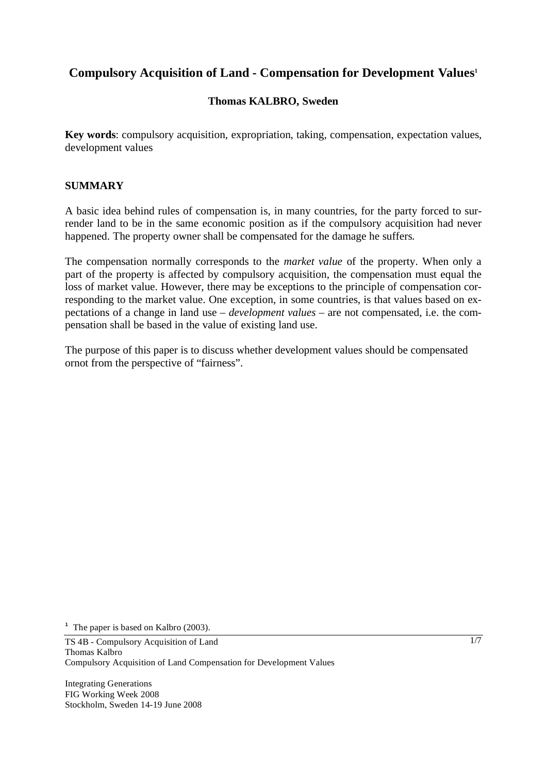# **Compulsory Acquisition of Land - Compensation for Development Values1**

## **Thomas KALBRO, Sweden**

**Key words**: compulsory acquisition, expropriation, taking, compensation, expectation values, development values

### **SUMMARY**

A basic idea behind rules of compensation is, in many countries, for the party forced to surrender land to be in the same economic position as if the compulsory acquisition had never happened. The property owner shall be compensated for the damage he suffers.

The compensation normally corresponds to the *market value* of the property. When only a part of the property is affected by compulsory acquisition, the compensation must equal the loss of market value. However, there may be exceptions to the principle of compensation corresponding to the market value. One exception, in some countries, is that values based on expectations of a change in land use – *development values* – are not compensated, i.e. the compensation shall be based in the value of existing land use.

The purpose of this paper is to discuss whether development values should be compensated ornot from the perspective of "fairness".

<sup>1</sup> The paper is based on Kalbro (2003).

TS 4B - Compulsory Acquisition of Land Thomas Kalbro Compulsory Acquisition of Land Compensation for Development Values

Integrating Generations FIG Working Week 2008 Stockholm, Sweden 14-19 June 2008 1/7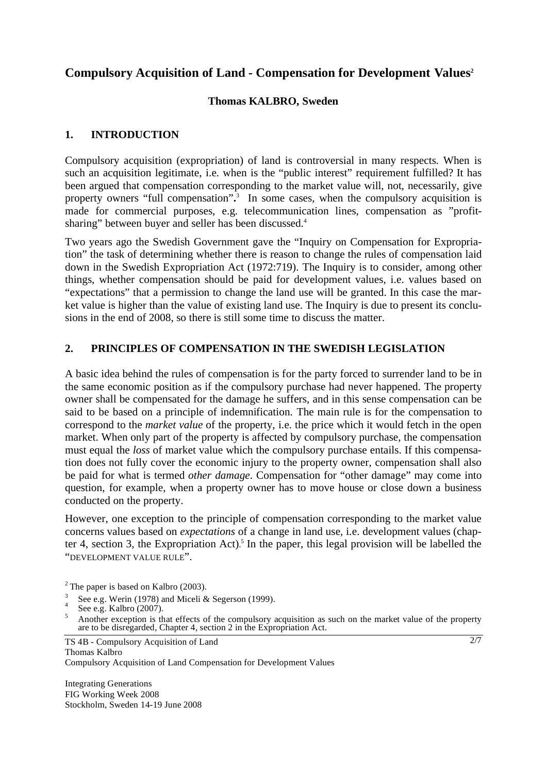# **Compulsory Acquisition of Land - Compensation for Development Values2**

#### **Thomas KALBRO, Sweden**

## **1. INTRODUCTION**

Compulsory acquisition (expropriation) of land is controversial in many respects. When is such an acquisition legitimate, i.e. when is the "public interest" requirement fulfilled? It has been argued that compensation corresponding to the market value will, not, necessarily, give property owners "full compensation"**.** 3 In some cases, when the compulsory acquisition is made for commercial purposes, e.g. telecommunication lines, compensation as "profitsharing" between buyer and seller has been discussed.<sup>4</sup>

Two years ago the Swedish Government gave the "Inquiry on Compensation for Expropriation" the task of determining whether there is reason to change the rules of compensation laid down in the Swedish Expropriation Act (1972:719). The Inquiry is to consider, among other things, whether compensation should be paid for development values, i.e. values based on "expectations" that a permission to change the land use will be granted. In this case the market value is higher than the value of existing land use. The Inquiry is due to present its conclusions in the end of 2008, so there is still some time to discuss the matter.

### **2. PRINCIPLES OF COMPENSATION IN THE SWEDISH LEGISLATION**

A basic idea behind the rules of compensation is for the party forced to surrender land to be in the same economic position as if the compulsory purchase had never happened. The property owner shall be compensated for the damage he suffers, and in this sense compensation can be said to be based on a principle of indemnification. The main rule is for the compensation to correspond to the *market value* of the property, i.e. the price which it would fetch in the open market. When only part of the property is affected by compulsory purchase, the compensation must equal the *loss* of market value which the compulsory purchase entails. If this compensation does not fully cover the economic injury to the property owner, compensation shall also be paid for what is termed *other damage*. Compensation for "other damage" may come into question, for example, when a property owner has to move house or close down a business conducted on the property.

However, one exception to the principle of compensation corresponding to the market value concerns values based on *expectations* of a change in land use, i.e. development values (chapter 4, section 3, the Expropriation Act). <sup>5</sup> In the paper, this legal provision will be labelled the "DEVELOPMENT VALUE RULE".

3 See e.g. Werin (1978) and Miceli & Segerson (1999).

TS 4B - Compulsory Acquisition of Land Thomas Kalbro Compulsory Acquisition of Land Compensation for Development Values

Integrating Generations FIG Working Week 2008 Stockholm, Sweden 14-19 June 2008  $2/7$ 

 $2$ <sup>2</sup> The paper is based on Kalbro (2003).

<sup>4</sup> See e.g. Kalbro  $(2007)$ .

Another exception is that effects of the compulsory acquisition as such on the market value of the property are to be disregarded, Chapter 4, section 2 in the Expropriation Act.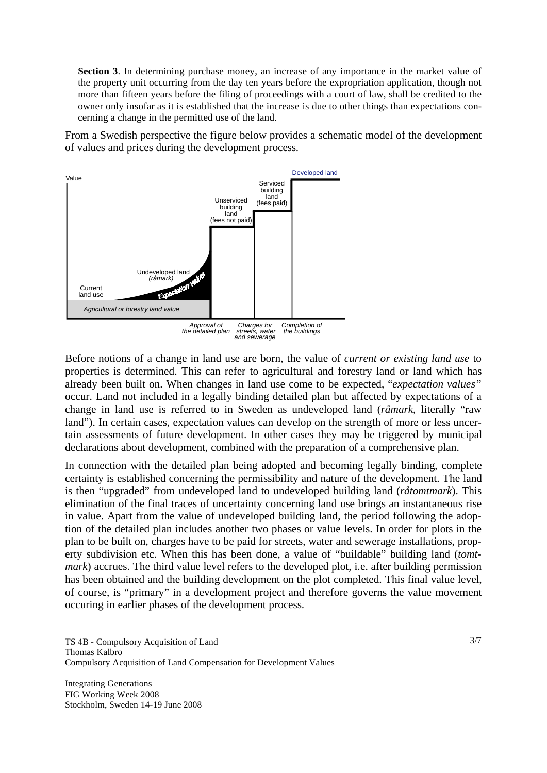**Section 3**. In determining purchase money, an increase of any importance in the market value of the property unit occurring from the day ten years before the expropriation application, though not more than fifteen years before the filing of proceedings with a court of law, shall be credited to the owner only insofar as it is established that the increase is due to other things than expectations concerning a change in the permitted use of the land.

From a Swedish perspective the figure below provides a schematic model of the development of values and prices during the development process.



Before notions of a change in land use are born, the value of *current or existing land use* to properties is determined. This can refer to agricultural and forestry land or land which has already been built on. When changes in land use come to be expected, "*expectation values"* occur. Land not included in a legally binding detailed plan but affected by expectations of a change in land use is referred to in Sweden as undeveloped land (*råmark*, literally "raw land"). In certain cases, expectation values can develop on the strength of more or less uncertain assessments of future development. In other cases they may be triggered by municipal declarations about development, combined with the preparation of a comprehensive plan.

In connection with the detailed plan being adopted and becoming legally binding, complete certainty is established concerning the permissibility and nature of the development. The land is then "upgraded" from undeveloped land to undeveloped building land (*råtomtmark*). This elimination of the final traces of uncertainty concerning land use brings an instantaneous rise in value. Apart from the value of undeveloped building land, the period following the adoption of the detailed plan includes another two phases or value levels. In order for plots in the plan to be built on, charges have to be paid for streets, water and sewerage installations, property subdivision etc. When this has been done, a value of "buildable" building land (*tomtmark*) accrues. The third value level refers to the developed plot, i.e. after building permission has been obtained and the building development on the plot completed. This final value level, of course, is "primary" in a development project and therefore governs the value movement occuring in earlier phases of the development process.

TS 4B - Compulsory Acquisition of Land Thomas Kalbro Compulsory Acquisition of Land Compensation for Development Values

Integrating Generations FIG Working Week 2008 Stockholm, Sweden 14-19 June 2008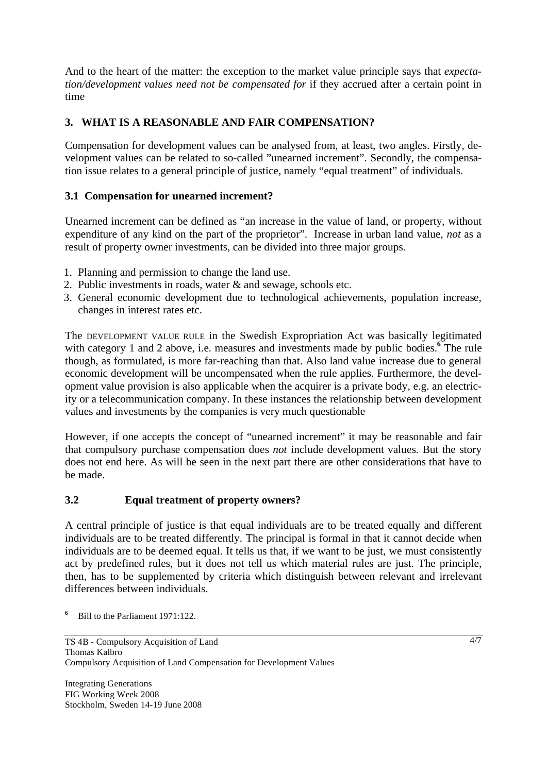And to the heart of the matter: the exception to the market value principle says that *expectation/development values need not be compensated for* if they accrued after a certain point in time

# **3. WHAT IS A REASONABLE AND FAIR COMPENSATION?**

Compensation for development values can be analysed from, at least, two angles. Firstly, development values can be related to so-called "unearned increment". Secondly, the compensation issue relates to a general principle of justice, namely "equal treatment" of individuals.

# **3.1 Compensation for unearned increment?**

Unearned increment can be defined as "an increase in the value of land, or property, without expenditure of any kind on the part of the proprietor". Increase in urban land value, *not* as a result of property owner investments, can be divided into three major groups.

- 1. Planning and permission to change the land use.
- 2. Public investments in roads, water & and sewage, schools etc.
- 3. General economic development due to technological achievements, population increase, changes in interest rates etc.

The DEVELOPMENT VALUE RULE in the Swedish Expropriation Act was basically legitimated with category 1 and 2 above, i.e. measures and investments made by public bodies.<sup>6</sup> The rule though, as formulated, is more far-reaching than that. Also land value increase due to general economic development will be uncompensated when the rule applies. Furthermore, the development value provision is also applicable when the acquirer is a private body, e.g. an electricity or a telecommunication company. In these instances the relationship between development values and investments by the companies is very much questionable

However, if one accepts the concept of "unearned increment" it may be reasonable and fair that compulsory purchase compensation does *not* include development values. But the story does not end here. As will be seen in the next part there are other considerations that have to be made.

# **3.2 Equal treatment of property owners?**

A central principle of justice is that equal individuals are to be treated equally and different individuals are to be treated differently. The principal is formal in that it cannot decide when individuals are to be deemed equal. It tells us that, if we want to be just, we must consistently act by predefined rules, but it does not tell us which material rules are just. The principle, then, has to be supplemented by criteria which distinguish between relevant and irrelevant differences between individuals.

**6** Bill to the Parliament 1971:122.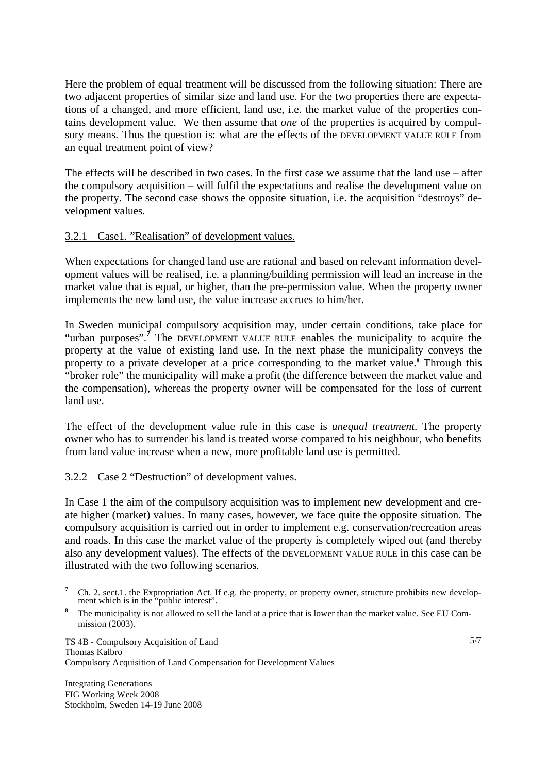Here the problem of equal treatment will be discussed from the following situation: There are two adjacent properties of similar size and land use. For the two properties there are expectations of a changed, and more efficient, land use, i.e. the market value of the properties contains development value. We then assume that *one* of the properties is acquired by compulsory means. Thus the question is: what are the effects of the DEVELOPMENT VALUE RULE from an equal treatment point of view?

The effects will be described in two cases. In the first case we assume that the land use – after the compulsory acquisition – will fulfil the expectations and realise the development value on the property. The second case shows the opposite situation, i.e. the acquisition "destroys" development values.

### 3.2.1 Case1. "Realisation" of development values.

When expectations for changed land use are rational and based on relevant information development values will be realised, i.e. a planning/building permission will lead an increase in the market value that is equal, or higher, than the pre-permission value. When the property owner implements the new land use, the value increase accrues to him/her.

In Sweden municipal compulsory acquisition may, under certain conditions, take place for "urban purposes".<sup>7</sup> The DEVELOPMENT VALUE RULE enables the municipality to acquire the property at the value of existing land use. In the next phase the municipality conveys the property to a private developer at a price corresponding to the market value.**<sup>8</sup>** Through this "broker role" the municipality will make a profit (the difference between the market value and the compensation), whereas the property owner will be compensated for the loss of current land use.

The effect of the development value rule in this case is *unequal treatment*. The property owner who has to surrender his land is treated worse compared to his neighbour, who benefits from land value increase when a new, more profitable land use is permitted.

## 3.2.2 Case 2 "Destruction" of development values.

In Case 1 the aim of the compulsory acquisition was to implement new development and create higher (market) values. In many cases, however, we face quite the opposite situation. The compulsory acquisition is carried out in order to implement e.g. conservation/recreation areas and roads. In this case the market value of the property is completely wiped out (and thereby also any development values). The effects of the DEVELOPMENT VALUE RULE in this case can be illustrated with the two following scenarios.

- <sup>7</sup> Ch. 2. sect.1. the Expropriation Act. If e.g. the property, or property owner, structure prohibits new development which is in the "public interest".
- **8** The municipality is not allowed to sell the land at a price that is lower than the market value. See EU Commission (2003).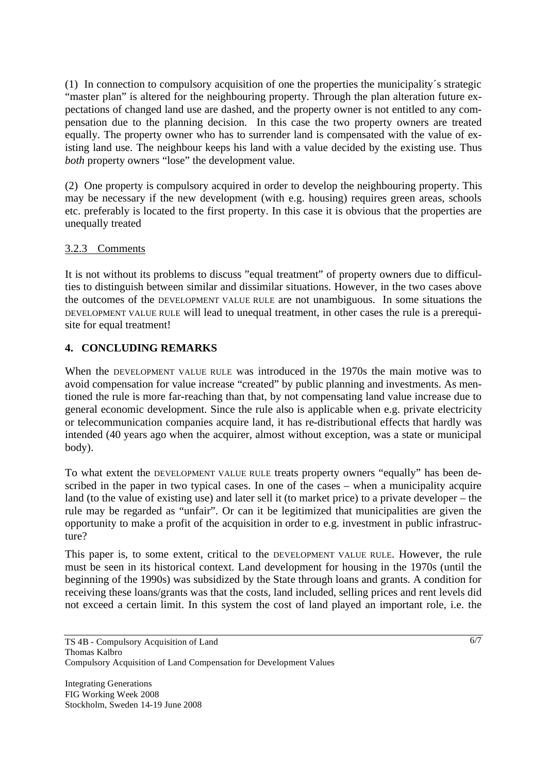(1) In connection to compulsory acquisition of one the properties the municipality´s strategic "master plan" is altered for the neighbouring property. Through the plan alteration future expectations of changed land use are dashed, and the property owner is not entitled to any compensation due to the planning decision. In this case the two property owners are treated equally. The property owner who has to surrender land is compensated with the value of existing land use. The neighbour keeps his land with a value decided by the existing use. Thus *both* property owners "lose" the development value.

(2) One property is compulsory acquired in order to develop the neighbouring property. This may be necessary if the new development (with e.g. housing) requires green areas, schools etc. preferably is located to the first property. In this case it is obvious that the properties are unequally treated

### 3.2.3 Comments

It is not without its problems to discuss "equal treatment" of property owners due to difficulties to distinguish between similar and dissimilar situations. However, in the two cases above the outcomes of the DEVELOPMENT VALUE RULE are not unambiguous. In some situations the DEVELOPMENT VALUE RULE will lead to unequal treatment, in other cases the rule is a prerequisite for equal treatment!

## **4. CONCLUDING REMARKS**

When the DEVELOPMENT VALUE RULE was introduced in the 1970s the main motive was to avoid compensation for value increase "created" by public planning and investments. As mentioned the rule is more far-reaching than that, by not compensating land value increase due to general economic development. Since the rule also is applicable when e.g. private electricity or telecommunication companies acquire land, it has re-distributional effects that hardly was intended (40 years ago when the acquirer, almost without exception, was a state or municipal body).

To what extent the DEVELOPMENT VALUE RULE treats property owners "equally" has been described in the paper in two typical cases. In one of the cases – when a municipality acquire land (to the value of existing use) and later sell it (to market price) to a private developer – the rule may be regarded as "unfair". Or can it be legitimized that municipalities are given the opportunity to make a profit of the acquisition in order to e.g. investment in public infrastructure?

This paper is, to some extent, critical to the DEVELOPMENT VALUE RULE. However, the rule must be seen in its historical context. Land development for housing in the 1970s (until the beginning of the 1990s) was subsidized by the State through loans and grants. A condition for receiving these loans/grants was that the costs, land included, selling prices and rent levels did not exceed a certain limit. In this system the cost of land played an important role, i.e. the